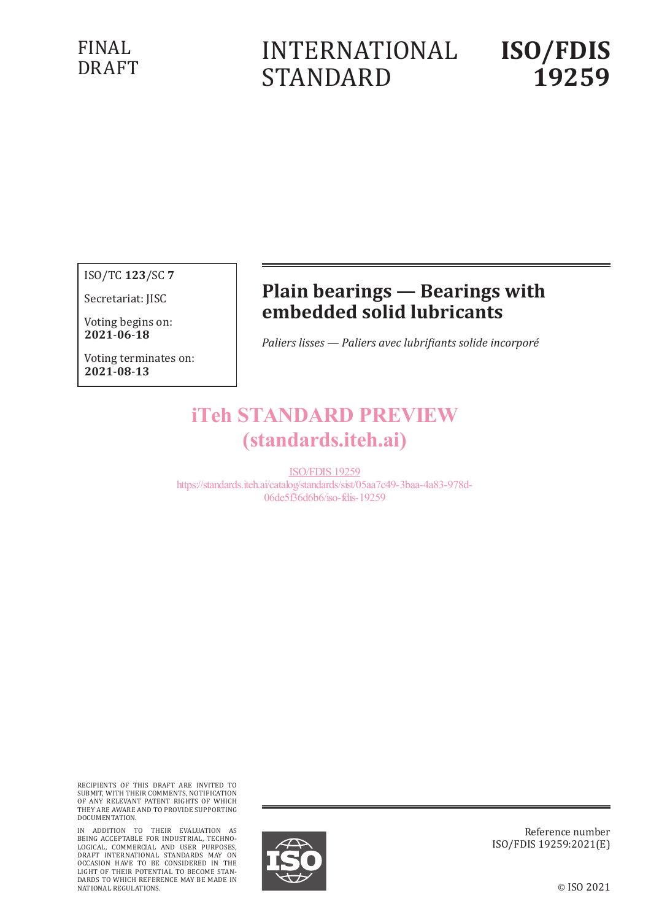### FINAL DRAFT

# INTERNATIONAL STANDARD

# **ISO/FDIS 19259**

ISO/TC **123**/SC **7**

Secretariat: JISC

Voting begins on: **20210618**

Voting terminates on: **20210813**

## **Plain bearings — Bearings with embedded solid lubricants**

*Paliers lisses — Paliers avec lubrifiants solide incorporé*

## iTeh STANDARD PREVIEW (standards.iteh.ai)

ISO/FDIS 19259 https://standards.iteh.ai/catalog/standards/sist/05aa7c49-3baa-4a83-978d-06de5f36d6b6/iso-fdis-19259

RECIPIENTS OF THIS DRAFT ARE INVITED TO SUBMIT, WITH THEIR COMMENTS, NOTIFICATION OF ANY RELEVANT PATENT RIGHTS OF WHICH THEY ARE AWARE AND TO PROVIDE SUPPORTING DOCUMENTATION.

IN ADDITION TO THEIR EVALUATION AS<br>BEING ACCEPTABLE FOR INDUSTRIAL, TECHNO-<br>LOGICAL, COMMERCIAL AND USER PURPOSES,<br>DRAFT INTERNATIONAL STANDARDS MAY ON<br>OCCASION HAVE TO BE CONSIDERED IN THE<br>LIGHT OF THEIR POTENTIAL TO BECO DARDS TO WHICH REFERENCE MAY BE MADE IN NATIONAL REGULATIONS.



Reference number ISO/FDIS 19259:2021(E)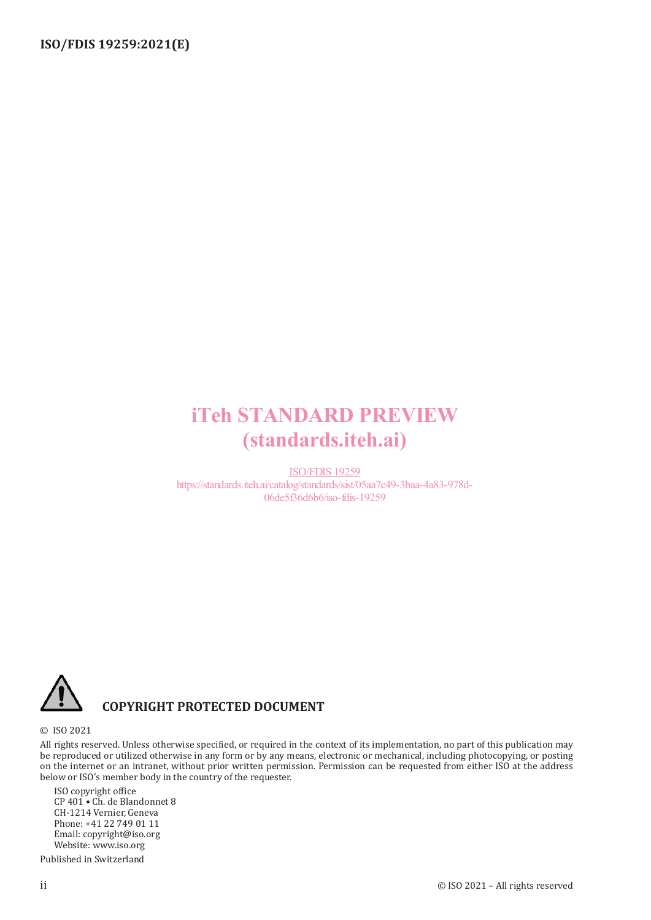## iTeh STANDARD PREVIEW (standards.iteh.ai)

ISO/FDIS 19259 https://standards.iteh.ai/catalog/standards/sist/05aa7c49-3baa-4a83-978d-06de5f36d6b6/iso-fdis-19259



#### **COPYRIGHT PROTECTED DOCUMENT**

#### © ISO 2021

All rights reserved. Unless otherwise specified, or required in the context of its implementation, no part of this publication may be reproduced or utilized otherwise in any form or by any means, electronic or mechanical, including photocopying, or posting on the internet or an intranet, without prior written permission. Permission can be requested from either ISO at the address below or ISO's member body in the country of the requester.

ISO copyright office CP 401 • Ch. de Blandonnet 8 CH-1214 Vernier, Geneva Phone: +41 22 749 01 11 Email: copyright@iso.org Website: www.iso.org Published in Switzerland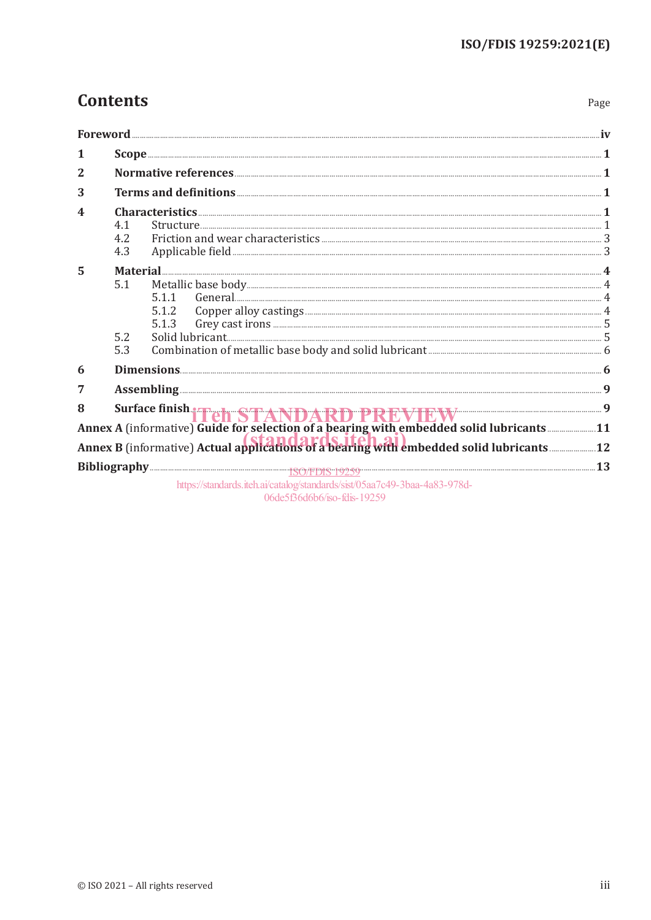Page

### **Contents**

| 1              |                   |                                                                                          |  |
|----------------|-------------------|------------------------------------------------------------------------------------------|--|
| $\overline{2}$ |                   |                                                                                          |  |
| 3              |                   | Terms and definitions <b>Executive Executive Contract 1</b>                              |  |
| 4              | 4.1<br>4.2<br>4.3 | Characteristics <b>Execution Characteristics</b> 1                                       |  |
| 5              | 5.1<br>5.2<br>5.3 | 5.1.1<br>5.1.2<br>5.1.3                                                                  |  |
| 6              |                   |                                                                                          |  |
| 7              |                   |                                                                                          |  |
| 8              |                   | Surface finish Fehr STANDARD PREVIEW EW 3                                                |  |
|                |                   | Annex A (informative) Guide for selection of a bearing with embedded solid lubricants 11 |  |
|                |                   |                                                                                          |  |
|                |                   | https://standards.iteh.ai/catalog/standards/sist/05aa7c49-3baa-4a83-978d-                |  |

06de5f36d6b6/iso-fdis-19259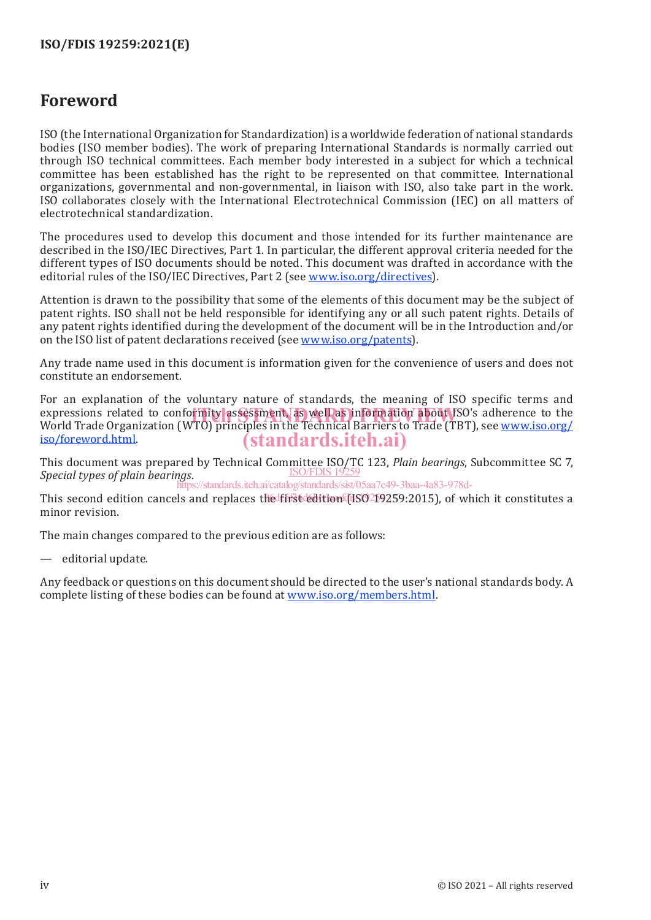### **Foreword**

ISO (the International Organization for Standardization) is a worldwide federation of national standards bodies (ISO member bodies). The work of preparing International Standards is normally carried out through ISO technical committees. Each member body interested in a subject for which a technical committee has been established has the right to be represented on that committee. International organizations, governmental and non-governmental, in liaison with ISO, also take part in the work. ISO collaborates closely with the International Electrotechnical Commission (IEC) on all matters of electrotechnical standardization.

The procedures used to develop this document and those intended for its further maintenance are described in the ISO/IEC Directives, Part 1. In particular, the different approval criteria needed for the different types of ISO documents should be noted. This document was drafted in accordance with the editorial rules of the ISO/IEC Directives, Part 2 (see www.iso.org/directives).

Attention is drawn to the possibility that some of the elements of this document may be the subject of patent rights. ISO shall not be held responsible for identifying any or all such patent rights. Details of any patent rights identified during the development of the document will be in the Introduction and/or on the ISO list of patent declarations received (see www.iso.org/patents).

Any trade name used in this document is information given for the convenience of users and does not constitute an endorsement.

For an explanation of the voluntary nature of standards, the meaning of ISO specific terms and expressions related to conformity assessment, as well as information about ISO's adherence to the<br>World Trade Organization (WTO) principles in the Technical Barriers to Trade (TBT), see www.iso.org/ World Trade Organization (WTO) principles in the Technical Barriers to Trade (TBT), see www.iso.org/ iso/foreword.html. (standards.iteh.ai)

This document was prepared by Technical Committee ISO/TC 123, *Plain bearings*, Subcommittee SC 7, *Special types of plain bearings*. ISO/FDIS 19259 https://standards.iteh.ai/catalog/standards/sist/05aa7c49-3baa-4a83-978d-

This second edition cancels and replaces the first edition (ISO219259:2015), of which it constitutes a minor revision.

The main changes compared to the previous edition are as follows:

editorial update.

Any feedback or questions on this document should be directed to the user's national standards body. A complete listing of these bodies can be found at www.iso.org/members.html.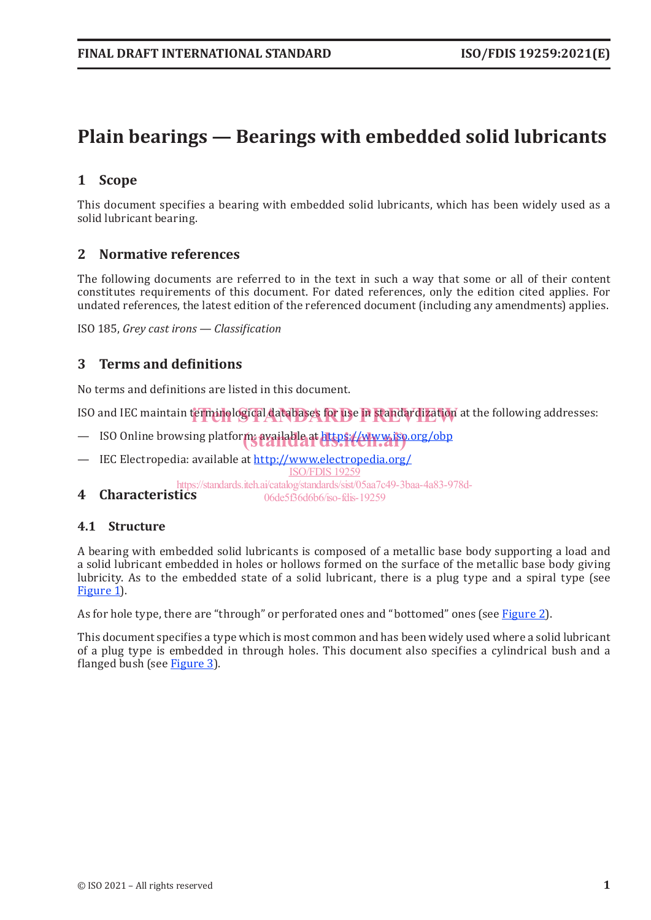### **Plain bearings — Bearings with embedded solid lubricants**

#### **1 Scope**

This document specifies a bearing with embedded solid lubricants, which has been widely used as a solid lubricant bearing.

#### **2 Normative references**

The following documents are referred to in the text in such a way that some or all of their content constitutes requirements of this document. For dated references, only the edition cited applies. For undated references, the latest edition of the referenced document (including any amendments) applies.

ISO 185, *Grey cast irons — Classification*

#### **3 Terms and definitions**

No terms and definitions are listed in this document.

ISO and IEC maintain terminological databases for use in standardization at the following addresses:

- ISO Online browsing platform: available at https://www.iso.org/obp
- IEC Electropedia: available at http://www.electropedia.org/ ISO/FDIS 19259

**4 Characteristics** https://standards.iteh.ai/catalog/standards/sist/05aa7c49-3baa-4a83-978d-06de5f36d6b6/iso-fdis-19259

#### **4.1 Structure**

A bearing with embedded solid lubricants is composed of a metallic base body supporting a load and a solid lubricant embedded in holes or hollows formed on the surface of the metallic base body giving lubricity. As to the embedded state of a solid lubricant, there is a plug type and a spiral type (see Figure 1.

As for hole type, there are "through" or perforated ones and "bottomed" ones (see Figure 2).

This document specifies a type which is most common and has been widely used where a solid lubricant of a plug type is embedded in through holes. This document also specifies a cylindrical bush and a flanged bush (see Figure 3).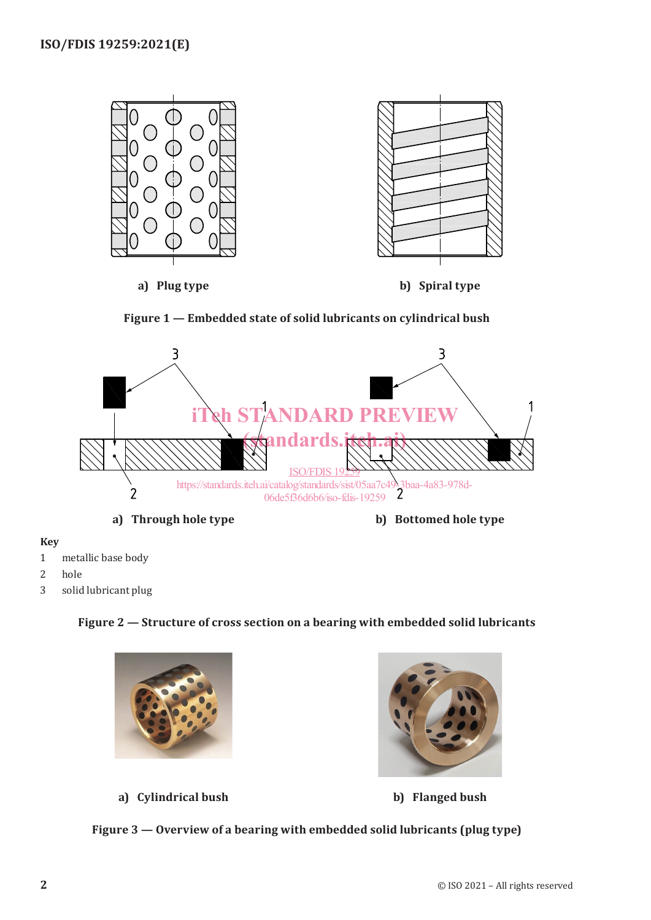





#### **Key**

- 1 metallic base body
- 2 hole
- 3 solid lubricant plug

#### **Figure 2 — Structure of cross section on a bearing with embedded solid lubricants**



**a) Cylindrical bush b) Flanged bush**

**Figure 3 — Overview of a bearing with embedded solid lubricants (plug type)**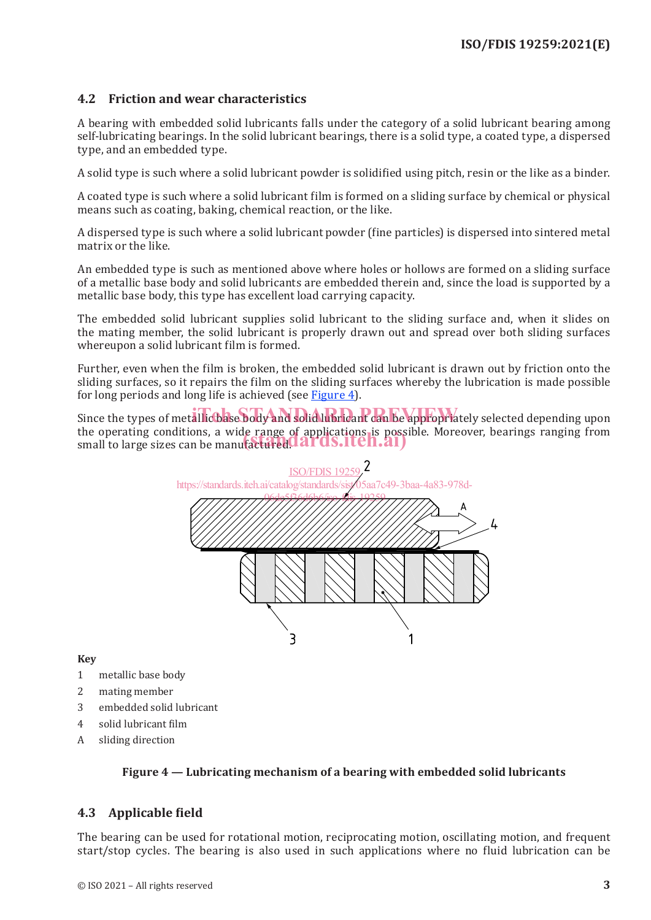#### **4.2 Friction and wear characteristics**

A bearing with embedded solid lubricants falls under the category of a solid lubricant bearing among self-lubricating bearings. In the solid lubricant bearings, there is a solid type, a coated type, a dispersed type, and an embedded type.

A solid type is such where a solid lubricant powder is solidified using pitch, resin or the like as a binder.

A coated type is such where a solid lubricant film is formed on a sliding surface by chemical or physical means such as coating, baking, chemical reaction, or the like.

A dispersed type is such where a solid lubricant powder (fine particles) is dispersed into sintered metal matrix or the like.

An embedded type is such as mentioned above where holes or hollows are formed on a sliding surface of a metallic base body and solid lubricants are embedded therein and, since the load is supported by a metallic base body, this type has excellent load carrying capacity.

The embedded solid lubricant supplies solid lubricant to the sliding surface and, when it slides on the mating member, the solid lubricant is properly drawn out and spread over both sliding surfaces whereupon a solid lubricant film is formed.

Further, even when the film is broken, the embedded solid lubricant is drawn out by friction onto the sliding surfaces, so it repairs the film on the sliding surfaces whereby the lubrication is made possible for long periods and long life is achieved (see Figure 4).

Since the types of metallic base body and solid lubricant can be appropriately selected depending upon the operating conditions, a wide range of applications is possible. Moreover, bearings ranging from the operating conditions, a wide range of applications is possi<br>small to large sizes can be manufactured. **ards.iteh.ai**)



**Key**

- 1 metallic base body
- 2 mating member
- 3 embedded solid lubricant
- 4 solid lubricant film
- A sliding direction

#### **Figure 4 — Lubricating mechanism of a bearing with embedded solid lubricants**

#### **4.3 Applicable field**

The bearing can be used for rotational motion, reciprocating motion, oscillating motion, and frequent start/stop cycles. The bearing is also used in such applications where no fluid lubrication can be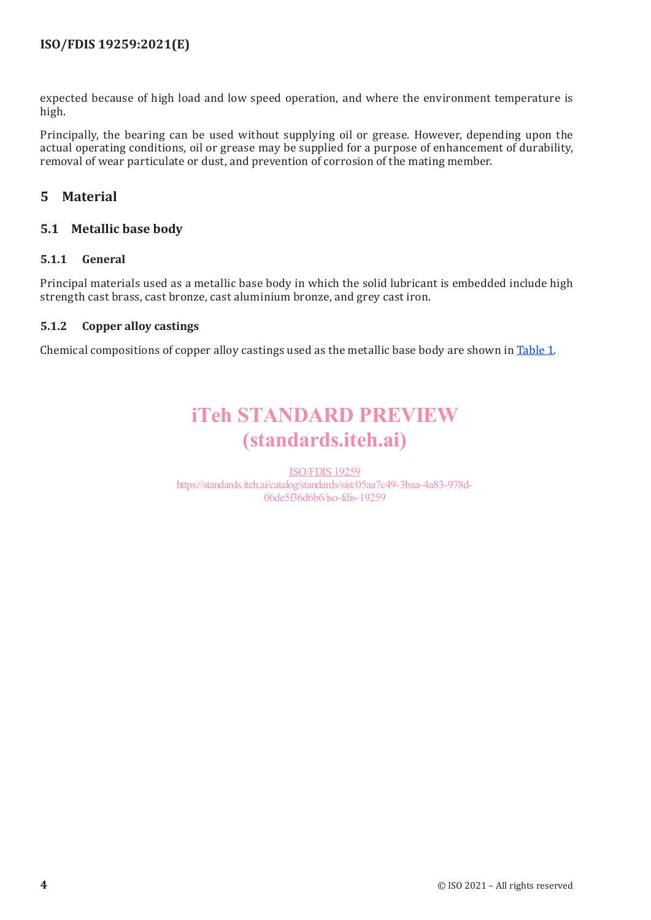expected because of high load and low speed operation, and where the environment temperature is high.

Principally, the bearing can be used without supplying oil or grease. However, depending upon the actual operating conditions, oil or grease may be supplied for a purpose of enhancement of durability, removal of wear particulate or dust, and prevention of corrosion of the mating member.

#### **5 Material**

#### **5.1 Metallic base body**

#### **5.1.1 General**

Principal materials used as a metallic base body in which the solid lubricant is embedded include high strength cast brass, cast bronze, cast aluminium bronze, and grey cast iron.

#### **5.1.2 Copper alloy castings**

Chemical compositions of copper alloy castings used as the metallic base body are shown in Table 1.

## iTeh STANDARD PREVIEW (standards.iteh.ai)

ISO/FDIS 19259 https://standards.iteh.ai/catalog/standards/sist/05aa7c49-3baa-4a83-978d-06de5f36d6b6/iso-fdis-19259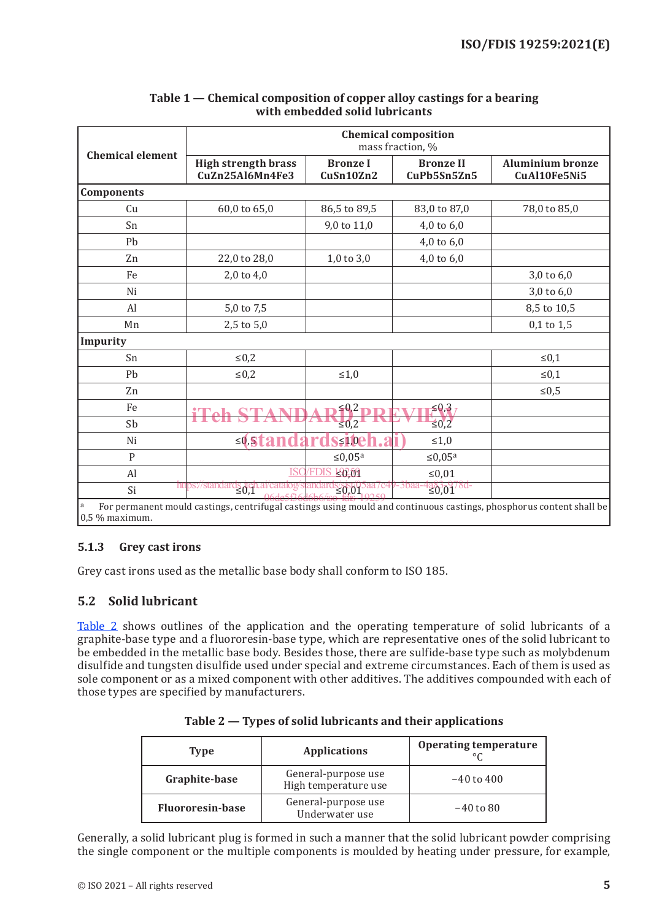|                         | <b>Chemical composition</b><br>mass fraction, %                                                                     |                              |                                 |                                         |
|-------------------------|---------------------------------------------------------------------------------------------------------------------|------------------------------|---------------------------------|-----------------------------------------|
| <b>Chemical element</b> | <b>High strength brass</b><br>CuZn25Al6Mn4Fe3                                                                       | <b>Bronze I</b><br>CuSn10Zn2 | <b>Bronze II</b><br>CuPb5Sn5Zn5 | <b>Aluminium bronze</b><br>CuAl10Fe5Ni5 |
| <b>Components</b>       |                                                                                                                     |                              |                                 |                                         |
| Cu                      | 60,0 to 65,0                                                                                                        | 86,5 to 89,5                 | 83,0 to 87,0                    | 78,0 to 85,0                            |
| Sn                      |                                                                                                                     | 9,0 to 11,0                  | 4,0 to 6,0                      |                                         |
| Pb                      |                                                                                                                     |                              | $4,0$ to $6,0$                  |                                         |
| Zn                      | 22,0 to 28,0                                                                                                        | $1,0$ to $3,0$               | 4,0 to $6,0$                    |                                         |
| Fe                      | $2,0$ to $4,0$                                                                                                      |                              |                                 | 3,0 to 6,0                              |
| Ni                      |                                                                                                                     |                              |                                 | 3,0 to 6,0                              |
| Al                      | 5,0 to 7,5                                                                                                          |                              |                                 | 8,5 to 10,5                             |
| Mn                      | 2,5 to 5,0                                                                                                          |                              |                                 | $0,1$ to $1,5$                          |
| Impurity                |                                                                                                                     |                              |                                 |                                         |
| Sn                      | $\leq 0.2$                                                                                                          |                              |                                 | $\leq 0,1$                              |
| Pb                      | $\leq 0.2$                                                                                                          | $\leq 1,0$                   |                                 | $\leq 0,1$                              |
| Zn                      |                                                                                                                     |                              |                                 | ${\leq}0.5$                             |
| Fe                      |                                                                                                                     | $\leq 0.2$                   | $\leq 0.3$ ,                    |                                         |
| Sb                      |                                                                                                                     | $\leq 0.2$                   | $\leq 0.2$                      |                                         |
| Ni                      | $\leq 0.512$                                                                                                        | $\leq 110$                   | ≤1,0                            |                                         |
| $\mathbf{P}$            |                                                                                                                     | $\leq 0.05a$                 | $\leq 0.05a$                    |                                         |
| Al                      | IS0                                                                                                                 | 120209                       | $≤0,01$                         |                                         |
| Si                      | htips://stand<br>$\frac{1}{2}$                                                                                      | 20.01                        | $\frac{125}{20,01}$<br>- 3baa   |                                         |
| a<br>$0.5\%$ maximum.   | For permanent mould castings, centrifugal castings using mould and continuous castings, phosphorus content shall be |                              |                                 |                                         |

#### **Table 1 — Chemical composition of copper alloy castings for a bearing with embedded solid lubricants**

#### **5.1.3 Grey cast irons**

Grey cast irons used as the metallic base body shall conform to ISO 185.

#### **5.2 Solid lubricant**

Table 2 shows outlines of the application and the operating temperature of solid lubricants of a graphite-base type and a fluororesin-base type, which are representative ones of the solid lubricant to be embedded in the metallic base body. Besides those, there are sulfide-base type such as molybdenum disulfide and tungsten disulfide used under special and extreme circumstances. Each of them is used as sole component or as a mixed component with other additives. The additives compounded with each of those types are specified by manufacturers.

| <b>Type</b>             | <b>Applications</b>                         | <b>Operating temperature</b> |
|-------------------------|---------------------------------------------|------------------------------|
| Graphite-base           | General-purpose use<br>High temperature use | $-40$ to $400$               |
| <b>Fluororesin-base</b> | General-purpose use<br>Underwater use       | $-40$ to 80                  |

|  |  |  | Table 2 — Types of solid lubricants and their applications |
|--|--|--|------------------------------------------------------------|
|--|--|--|------------------------------------------------------------|

Generally, a solid lubricant plug is formed in such a manner that the solid lubricant powder comprising the single component or the multiple components is moulded by heating under pressure, for example,